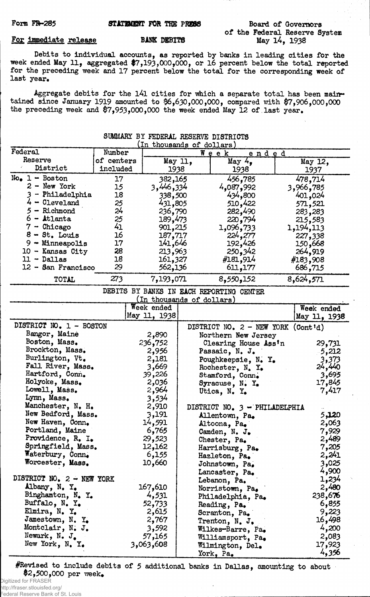#### Form FR-285 STATEMENT FOR THE PRESS

#### For immediate release

### BANK DEBITS

## Board of Governors of the Federal Reserve System May 14, 1938

Debits to individual accounts, as reported by banks in leading cities for the week ended May 11, aggregated \$7,193,000,000, or 16 percent below the total reported for the preceding week and 17 percent below the total for the corresponding week of last year.

Aggregate debits for the l4l cities for which a separate total has been maintained since January 1919 amounted to \$6,630,000,000, compared with \$7,906,000,000 the preceding week and \$7,953,000,000 the week ended May 12 of last year.

SUMMARY BY FEDERAL RESERVE DISTRICTS

| Federal                   | Number     | 1 T U                     | unousands of dollars |                                          |              |
|---------------------------|------------|---------------------------|----------------------|------------------------------------------|--------------|
| Reserve                   | of centers |                           |                      | Week<br>ended                            |              |
| District                  | included   |                           | May 11,              | May 4,                                   | May 12,      |
|                           |            | 1938                      |                      | 1938                                     | 1937         |
| $Noe 1 - Boston$          | 17         | 382,165                   |                      | 456,785                                  | 478,714      |
| $2 - New York$            | 15         | 3,446,334                 |                      | 4,087,992                                | 3,966,785    |
| 3 - Philadelphia          | 18         | 338,500                   |                      | 434,800                                  | 401,024      |
| $4 -$ Cleveland           | 25         | 431,805                   |                      | 510,422                                  | 571,521      |
| $5 -$ Richmond            | 24         | 236,790                   |                      | 282,490                                  | 283,283      |
| $6$ - Atlanta             | 25         | 189,473                   |                      | 220,794                                  | 215,583      |
| $7 -$ Chicago             | 41         | 901,215                   |                      | 1,096,733                                | 1,194,113    |
| $8 - St.$ Louis           | 16         | 187,717                   |                      | 224,277                                  | 227,338      |
| $9 -$ Minneapolis         | 17         | 141,646                   |                      | 192,426                                  | 150,668      |
| 10 - Kansas City          | 28         | 213,963                   |                      | 250,342                                  | 264,919      |
| $11 - Dallas$             | 18         | 161,327                   |                      | #181,914                                 | #183,908     |
| 12 - San Francisco        | 29         | 562,136                   |                      | 611, 177                                 | 686,715      |
| TOTAL                     | 273        | 7,193,071                 |                      | 8,550,152                                | 8,624,571    |
|                           |            |                           |                      | DEBITS BY BANKS IN EACH REPORTING CENTER |              |
|                           |            | (In thousands of dollars) |                      |                                          |              |
|                           |            | Week ended                |                      |                                          | Week ended   |
|                           |            | May 11, 1938              |                      |                                          | May 11, 1938 |
| DISTRICT NO. 1 - BOSTON   |            |                           |                      | DISTRICT NO. 2 - NEW YORK                | (Cont id)    |
| Bangor, Maine             |            | 2,890                     |                      | Northern New Jersey                      |              |
| Boston, Mass.             |            | 236,752                   |                      | Clearing House Ass'n                     | 29,731       |
| Brockton, Mass.           |            | 2,956                     |                      | Passaic, N. J.                           | -5,212       |
| Burlington, Vt.           |            | 2,181                     |                      | Poughkeepsie, N. Y.                      | 3,373        |
| Fall River, Mass.         |            | 3,669                     |                      | Rochester, N. Y.                         | 24,440       |
| Hartford, Conn.           |            | 39,226                    |                      | Stamford, Conn.                          | 3,695        |
| Holyoke, Mass.            |            | 2,036                     |                      | Syracuse, $N_{\bullet}$ Y <sub>o</sub>   | 17,845       |
| Lowell, Mass.             |            | 2,964                     |                      | Utica, N. Y.                             | 7,417        |
| Lynn, Mass.               |            | 3,534                     |                      |                                          |              |
| Manchester, N. H.         |            | 2,910                     |                      | DISTRICT NO. 3 - PHILADELPHIA            |              |
| New Bedford, Mass.        |            | 3,191                     |                      | Allentown, Pa.                           | 5,120        |
| New Haven, Conn.          |            | 14,591                    |                      | Altoona, Pa.                             | 2,063        |
| Portland, Maine           |            | 6,765                     |                      | Camden, N. J.                            | 7,929        |
| Providence, R. I.         |            | 29,523                    |                      | Chester, Pa.                             | 2,489        |
| Springfield, Mass.        |            | 12,162                    |                      | Harrisburg, Pa.                          | 7,205        |
| Waterbury, Conn.          |            | 6,155                     |                      | Hazleton, Pa.                            | 2,241        |
| Worcester, Mass.          |            | 10,660                    |                      | Johnstown, Pa.                           | 3,025        |
|                           |            |                           |                      | Lancaster, Pa.                           | 4,900        |
| DISTRICT NO. 2 - NEW YORK |            |                           |                      | Lebanon, Pa.                             | 1,234        |
| Albany, N. Y.             |            | 167,610                   |                      | Norristown, Pa.                          | 2,480        |
| Binghamton, N. Y.         |            | 4,531                     |                      | Philadelphia, Pa.                        | 238,676      |
| Buffalo, N. Y.            |            | 52,733                    |                      | Reading, Pa.                             | 6,855        |
| Elmira, N. Y.             |            | 2,615                     |                      | Scranton, Pa.                            | 9,223        |
| Jamestown, N. Y.          |            | 2,767                     |                      | Trenton, N. J.                           | 16,498       |
| Montclair, N. J.          |            | 3,592                     |                      | Wilkes-Barre, Pa.                        | 4,200        |
| Newark, $N_{\bullet}$ J.  |            | 57,165                    |                      |                                          | 2,083        |
| New York, N. Y.           |            | 3,063,608                 |                      | Williamsport, Pa.                        | 17,923       |
|                           |            |                           |                      | Wilmington, Del.                         | 4,356        |
|                           |            |                           |                      | York, Pa.                                |              |

^Revised to include debits of 5 additional banks in Dallas, amounting to about #2,500,000 per week.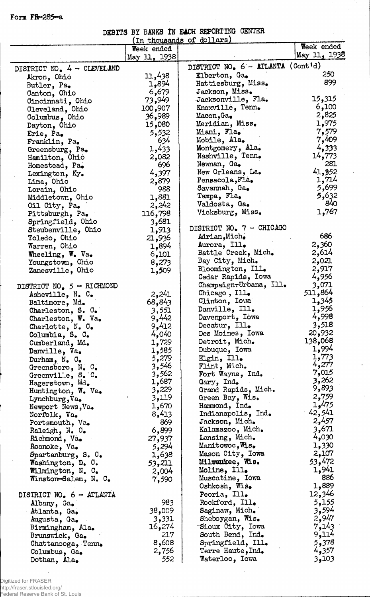Form FR-285~a

# DEBITS BY BANKS IN EACH REPORTING CENTER

|                              |              | (In thousands of dollars)         |              |
|------------------------------|--------------|-----------------------------------|--------------|
|                              | Week ended   |                                   | Week ended   |
|                              | May 11, 1938 |                                   | May 11, 1938 |
| DISTRICT NO. 4 - CLEVELAND   |              | DISTRICT NO. 6 - ATLANTA (Cont'd) |              |
|                              | 11,438       | Elberton, Ga.                     | 250          |
| Akron, Ohio                  | 1,894        | Hattiesburg, Miss.                | 899          |
| Butler, Pa.                  | 6,679        | Jackson, Miss.                    |              |
| Canton, Ohio                 |              | Jacksonville, Fla.                | 15,315       |
| Cincinnati, Ohio             | 73,949       | Knoxville, Tenn.                  | 6,100        |
| Cleveland, Ohio              | 100,907      |                                   |              |
| Columbus, Ohio               | 36,989       | Macon, Ga                         | 2,825        |
| Dayton, Ohio                 | 15,080       | Meridian, Miss.                   | 1,975        |
| Erie, Pa.                    | 5,532        | Miami, Fla.                       | 7,579        |
| Franklin, Pa.                | 634          | Mobile, Ala.                      | 7,409        |
| Greensburg, Pa.              | 1,433        | Montgomery, Ala.                  | 4,333        |
| Hamilton, Ohio               | 2,082        | Nashville, Tenn.                  | 14,773       |
| Homestead, Pa.               | 696          | Newnan, Ga.                       | 281          |
| Lexington, Ky.               | 4,397        | New Orleans, La.                  | 41,352       |
| Lima, Ohio                   | 2,879        | Pensacola, Fla.                   | 1,714        |
|                              | 988          | Savannah, Ga.                     | 5,699        |
| Lorain, Ohio                 | 1,881        | Tampa, Fla.                       | 5,632        |
| Middletown, Ohio             |              | Valdosta, Ga.                     | 840          |
| Oil City, Pa.                | 2,242        |                                   | 1,767        |
| Pittsburgh, Pa.              | 116,798      | Vicksburg, Miss.                  |              |
| Springfield, Ohio            | 3,681        |                                   |              |
| Steubenville, Ohio           | 1,913        | DISTRICT NO. 7 - CHICAGO          |              |
| Toledo, Ohio                 | 21,936       | Adrian, Mich.                     | 686          |
| Warren, Ohio                 | 1,894        | Aurora, Ill.                      | 2,360        |
| Wheeling, W. Va.             | 6,101        | Battle Creek, Mich.               | 2,614        |
| Youngstown, Ohio             | 8,273        | Bay City, Mich.                   | 2,021        |
| Zanesville, Ohio             | 1,509        | Bloomington, Ill.                 | 2,917        |
|                              |              | Cedar Rapids, Iowa                | 4,956        |
| DISTRICT NO. $5 - R1$ CHMOND |              | Champaign-Urbana, Ill.            | 3,071        |
|                              | 2,241        | Chicago, $III_{\bullet}$          | 511,864      |
| Asheville, N. C.             |              | Clinton, Iowa                     | 1,345        |
| Baltimore, Md.               | 68,843       | Danville, Ill.                    | 1,956        |
| Charleston, S. C.            | 3,551        |                                   | 4,998        |
| Charleston, W. Va.           | 9,442        | Davenport, Iowa                   |              |
| Charlotte, $N_e$ . C.        | 9,412        | Decatur, Ill.                     | 3,518        |
| Columbia, S. C.              | 4,040        | Des Moines, Iowa                  | 20,932       |
| Cumberland, Md.              | 1,729        | Detroit, Mich.                    | 138,068      |
| Danville, Va.                | 1,585        | Dubuque, Iowa                     | 1,994        |
| Durham, $N_e$ $C_e$          | 5,279        | Elgin, Ill.                       | 1,773        |
| Greensboro, $N_e$ $C_e$      | 3,546        | Flint, Mich.                      | 4,277        |
| Greenville, S. C.            | 3,562        | Fort Wayne, Ind.                  | 7,015        |
| Hagerstown, Md.              | 1,687        | Gary, Ind.                        | 3,262        |
| Huntington, $W_0$ . Va.      | 3,229        | Grand Rapids, Mich.               | 9,893        |
| Lynchburg, Va.               | 3,119        | Green Bay, Wis.                   | 2,759        |
| Newport News, Va.            | 1,670        | Hammond, Ind.                     | 1,475        |
| Norfolk, Va.                 | 8,413        | Indianapolis, Ind.                | 42,541       |
| Portsmouth, Va.              | 869          | Jackson, Mich.                    | 2,457        |
|                              | 6,899        | Kalamazoo, Mich.                  | 3,671        |
| Raleigh, N. C.               |              | Lansing, Mich.                    | 4,030        |
| Richmond, Va.                | 27,937       |                                   | 1,330        |
| Roanoke, Va.                 | 5,294        | Manitowoc, Wis.                   |              |
| Spartanburg, S. C.           | 1,638        | Mason City, Iowa                  | 2,107        |
| Washington, D. C.            | 53,211       | Milwaukee, Wis.                   | 53,472       |
| Wilmington, N. C.            | 2,004        | Moline, Ill.                      | 1,941        |
| Winston-Salem, N. C.         | 7,590        | Muscatine, Iowa                   | 886          |
|                              |              | Oshkosh, Wis.                     | 1,889        |
| DISTRICT NO. $6 - ATLANTA$   |              | Peoria, Ill.                      | 12,346       |
| Albany, Ga.                  | 983          | Rockford, Ill.                    | 5,155        |
| Atlanta, Ga.                 | 38,009       | Saginaw, Mich.                    | 3,594        |
| Augusta, Ga.                 | 3,331        | Sheboygan, Wis.                   | 2,947        |
| Birmingham, Ala.             | 16,274       | Sioux City, Iowa                  | 7,143        |
|                              | 217          | South Bend, Ind.                  | 9,114        |
| Brunswick, Ga.               | 8,608        | Springfield, Ill.                 | 5,378        |
| Chattanooga, Tenn.           |              | Terre Haute, Ind.                 | 4,357        |
| Columbus, Ga.                | 2,756        |                                   |              |
| Dothan, Ala.                 | 552          | Waterloo, Iowa                    | 3,103        |

 $\ddot{\phantom{a}}$ 

 $\hat{\mathcal{A}}$ 

Digitized for FRASER http://fraser.stlouisfed.org/ Federal Reserve Bank of St. Louis